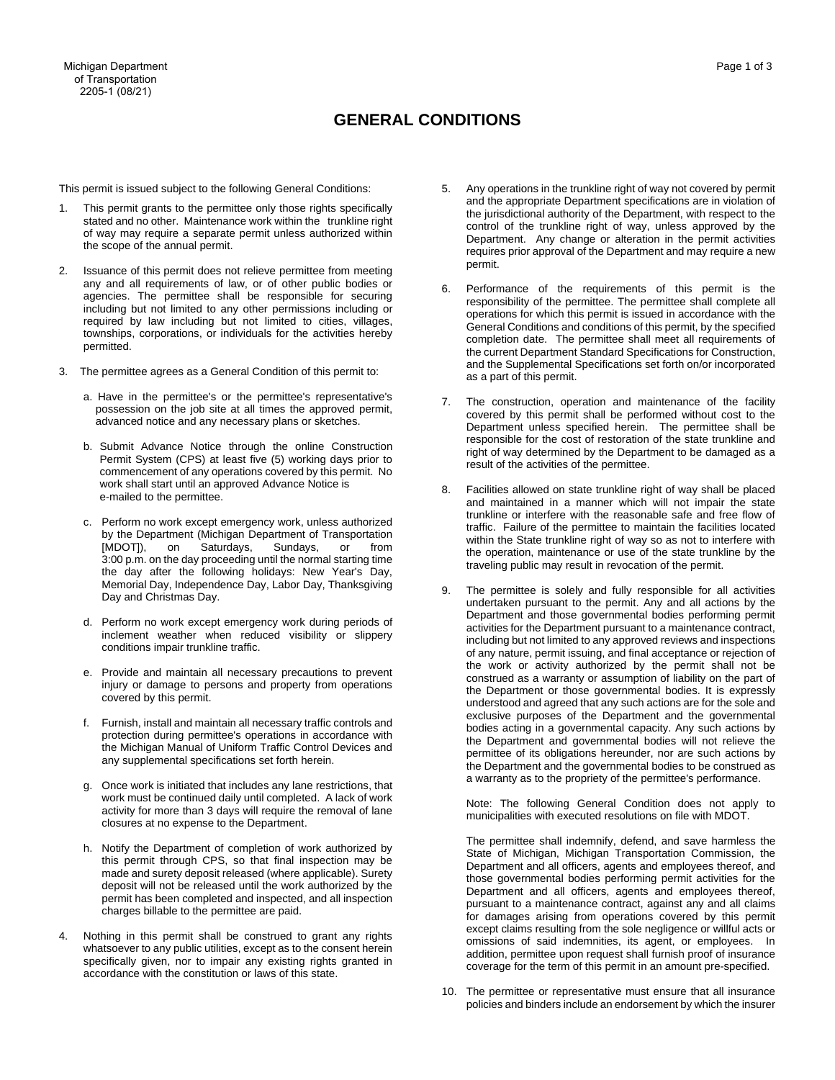## Page 1 of 3

## **GENERAL CONDITIONS**

This permit is issued subject to the following General Conditions:

- stated and no other. Maintenance work within the trunkline right of way may require a separate permit unless authorized within 1. This permit grants to the permittee only those rights specifically the scope of the annual permit.
- any and all requirements of law, or of other public bodies or required by law including but not limited to cities, villages, 2. Issuance of this permit does not relieve permittee from meeting agencies. The permittee shall be responsible for securing including but not limited to any other permissions including or townships, corporations, or individuals for the activities hereby permitted.
- 3. The permittee agrees as a General Condition of this permit to:
	- possession on the job site at all times the approved permit, a. Have in the permittee's or the permittee's representative's advanced notice and any necessary plans or sketches.
	- commencement of any operations covered by this permit. No b. Submit Advance Notice through the online Construction Permit System (CPS) at least five (5) working days prior to work shall start until an approved Advance Notice is e-mailed to the permittee.
	- 3:00 p.m. on the day proceeding until the normal starting time c. Perform no work except emergency work, unless authorized by the Department (Michigan Department of Transportation [MDOT]), on Saturdays, Sundays, or from the day after the following holidays: New Year's Day, Memorial Day, Independence Day, Labor Day, Thanksgiving Day and Christmas Day.
	- d. Perform no work except emergency work during periods of inclement weather when reduced visibility or slippery conditions impair trunkline traffic.
	- e. Provide and maintain all necessary precautions to prevent injury or damage to persons and property from operations covered by this permit.
	- f. Furnish, install and maintain all necessary traffic controls and protection during permittee's operations in accordance with the Michigan Manual of Uniform Traffic Control Devices and any supplemental specifications set forth herein.
	- g. Once work is initiated that includes any lane restrictions, that work must be continued daily until completed. A lack of work activity for more than 3 days will require the removal of lane closures at no expense to the Department.
	- this permit through CPS, so that final inspection may be h. Notify the Department of completion of work authorized by made and surety deposit released (where applicable). Surety deposit will not be released until the work authorized by the permit has been completed and inspected, and all inspection charges billable to the permittee are paid.
- 4. Nothing in this permit shall be construed to grant any rights whatsoever to any public utilities, except as to the consent herein specifically given, nor to impair any existing rights granted in accordance with the constitution or laws of this state.
- 5. Any operations in the trunkline right of way not covered by permit Department. Any change or alteration in the permit activities and the appropriate Department specifications are in violation of the jurisdictional authority of the Department, with respect to the control of the trunkline right of way, unless approved by the requires prior approval of the Department and may require a new permit.
- 6. Performance of the requirements of this permit is the operations for which this permit is issued in accordance with the General Conditions and conditions of this permit, by the specified completion date. The permittee shall meet all requirements of responsibility of the permittee. The permittee shall complete all the current Department Standard Specifications for Construction, and the Supplemental Specifications set forth on/or incorporated as a part of this permit.
- covered by this permit shall be performed without cost to the Department unless specified herein. The permittee shall be 7. The construction, operation and maintenance of the facility responsible for the cost of restoration of the state trunkline and right of way determined by the Department to be damaged as a result of the activities of the permittee.
- 8. Facilities allowed on state trunkline right of way shall be placed traffic. Failure of the permittee to maintain the facilities located within the State trunkline right of way so as not to interfere with and maintained in a manner which will not impair the state trunkline or interfere with the reasonable safe and free flow of the operation, maintenance or use of the state trunkline by the traveling public may result in revocation of the permit.
- 9. The permittee is solely and fully responsible for all activities undertaken pursuant to the permit. Any and all actions by the Department and those governmental bodies performing permit activities for the Department pursuant to a maintenance contract, the work or activity authorized by the permit shall not be construed as a warranty or assumption of liability on the part of the Department and governmental bodies will not relieve the permittee of its obligations hereunder, nor are such actions by the Department and the governmental bodies to be construed as including but not limited to any approved reviews and inspections of any nature, permit issuing, and final acceptance or rejection of the Department or those governmental bodies. It is expressly understood and agreed that any such actions are for the sole and exclusive purposes of the Department and the governmental bodies acting in a governmental capacity. Any such actions by a warranty as to the propriety of the permittee's performance.

 Note: The following General Condition does not apply to municipalities with executed resolutions on file with MDOT.

 The permittee shall indemnify, defend, and save harmless the those governmental bodies performing permit activities for the Department and all officers, agents and employees thereof, pursuant to a maintenance contract, against any and all claims for damages arising from operations covered by this permit except claims resulting from the sole negligence or willful acts or omissions of said indemnities, its agent, or employees. In State of Michigan, Michigan Transportation Commission, the Department and all officers, agents and employees thereof, and addition, permittee upon request shall furnish proof of insurance coverage for the term of this permit in an amount pre-specified.

 10. The permittee or representative must ensure that all insurance policies and binders include an endorsement by which the insurer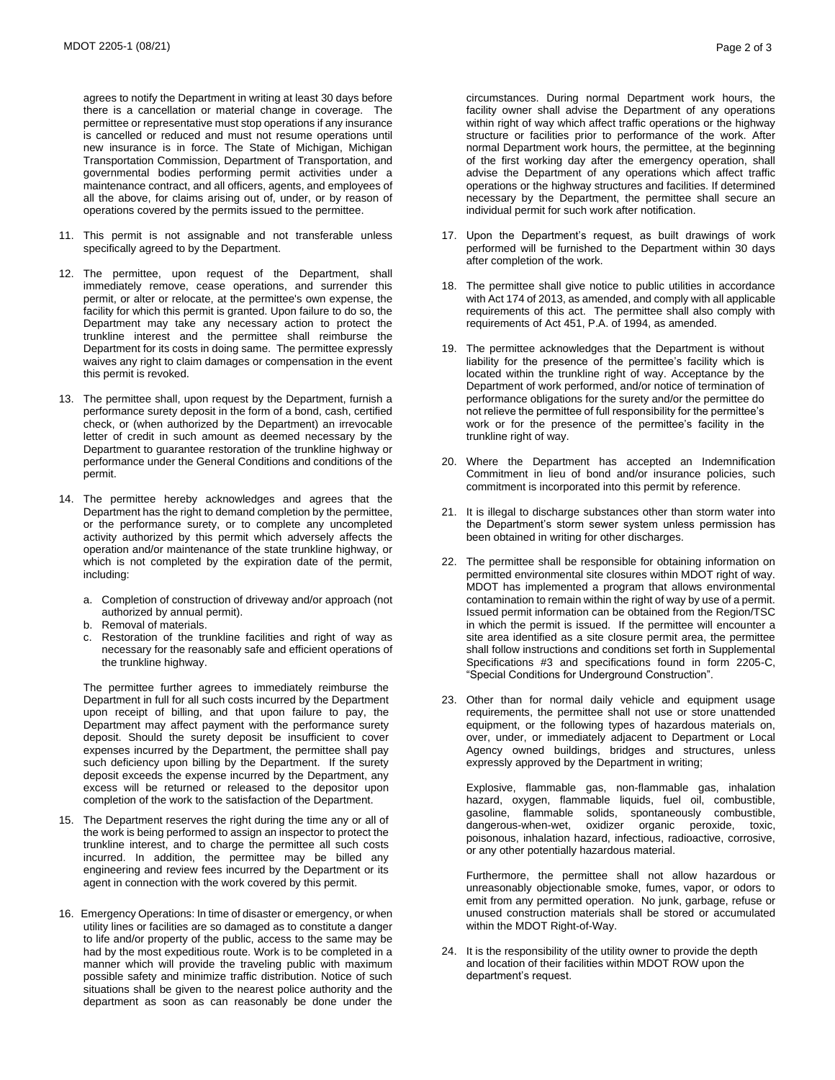agrees to notify the Department in writing at least 30 days before there is a cancellation or material change in coverage. The permittee or representative must stop operations if any insurance is cancelled or reduced and must not resume operations until new insurance is in force. The State of Michigan, Michigan governmental bodies performing permit activities under a all the above, for claims arising out of, under, or by reason of Transportation Commission, Department of Transportation, and maintenance contract, and all officers, agents, and employees of operations covered by the permits issued to the permittee.

- 11. This permit is not assignable and not transferable unless specifically agreed to by the Department.
- Department may take any necessary action to protect the Department for its costs in doing same. The permittee expressly waives any right to claim damages or compensation in the event 12. The permittee, upon request of the Department, shall immediately remove, cease operations, and surrender this permit, or alter or relocate, at the permittee's own expense, the facility for which this permit is granted. Upon failure to do so, the trunkline interest and the permittee shall reimburse the this permit is revoked.
- 13. The permittee shall, upon request by the Department, furnish a performance surety deposit in the form of a bond, cash, certified check, or (when authorized by the Department) an irrevocable letter of credit in such amount as deemed necessary by the Department to guarantee restoration of the trunkline highway or performance under the General Conditions and conditions of the permit.
- activity authorized by this permit which adversely affects the which is not completed by the expiration date of the permit, 14. The permittee hereby acknowledges and agrees that the Department has the right to demand completion by the permittee, or the performance surety, or to complete any uncompleted operation and/or maintenance of the state trunkline highway, or including:
	- a. Completion of construction of driveway and/or approach (not authorized by annual permit).
	- b. Removal of materials.
	- c. Restoration of the trunkline facilities and right of way as necessary for the reasonably safe and efficient operations of the trunkline highway.

 The permittee further agrees to immediately reimburse the Department in full for all such costs incurred by the Department expenses incurred by the Department, the permittee shall pay deposit exceeds the expense incurred by the Department, any excess will be returned or released to the depositor upon upon receipt of billing, and that upon failure to pay, the Department may affect payment with the performance surety deposit. Should the surety deposit be insufficient to cover such deficiency upon billing by the Department. If the surety completion of the work to the satisfaction of the Department.

- 15. The Department reserves the right during the time any or all of incurred. In addition, the permittee may be billed any the work is being performed to assign an inspector to protect the trunkline interest, and to charge the permittee all such costs engineering and review fees incurred by the Department or its agent in connection with the work covered by this permit.
- department as soon as can reasonably be done under the 16. Emergency Operations: In time of disaster or emergency, or when utility lines or facilities are so damaged as to constitute a danger to life and/or property of the public, access to the same may be had by the most expeditious route. Work is to be completed in a manner which will provide the traveling public with maximum possible safety and minimize traffic distribution. Notice of such situations shall be given to the nearest police authority and the

 facility owner shall advise the Department of any operations within right of way which affect traffic operations or the highway of the first working day after the emergency operation, shall operations or the highway structures and facilities. If determined circumstances. During normal Department work hours, the structure or facilities prior to performance of the work. After normal Department work hours, the permittee, at the beginning advise the Department of any operations which affect traffic necessary by the Department, the permittee shall secure an individual permit for such work after notification.

- 17. Upon the Department's request, as built drawings of work performed will be furnished to the Department within 30 days after completion of the work.
- 18. The permittee shall give notice to public utilities in accordance with Act 174 of 2013, as amended, and comply with all applicable requirements of this act. The permittee shall also comply with requirements of Act 451, P.A. of 1994, as amended.
- liability for the presence of the permittee's facility which is work or for the presence of the permittee's facility in the 19. The permittee acknowledges that the Department is without located within the trunkline right of way. Acceptance by the Department of work performed, and/or notice of termination of performance obligations for the surety and/or the permittee do not relieve the permittee of full responsibility for the permittee's trunkline right of way.
- 20. Where the Department has accepted an Indemnification Commitment in lieu of bond and/or insurance policies, such commitment is incorporated into this permit by reference.
- 21. It is illegal to discharge substances other than storm water into the Department's storm sewer system unless permission has been obtained in writing for other discharges.
- MDOT has implemented a program that allows environmental contamination to remain within the right of way by use of a permit. in which the permit is issued. If the permittee will encounter a site area identified as a site closure permit area, the permittee 22. The permittee shall be responsible for obtaining information on permitted environmental site closures within MDOT right of way. Issued permit information can be obtained from the Region/TSC shall follow instructions and conditions set forth in Supplemental Specifications #3 and specifications found in form 2205-C, "Special Conditions for Underground Construction".
- 23. Other than for normal daily vehicle and equipment usage requirements, the permittee shall not use or store unattended equipment, or the following types of hazardous materials on, over, under, or immediately adjacent to Department or Local Agency owned buildings, bridges and structures, unless expressly approved by the Department in writing;

Explosive, flammable gas, non-flammable gas, inhalation hazard, oxygen, flammable liquids, fuel oil, combustible, gasoline, flammable solids, spontaneously combustible, dangerous-when-wet, oxidizer organic peroxide, toxic, poisonous, inhalation hazard, infectious, radioactive, corrosive, or any other potentially hazardous material.

 Furthermore, the permittee shall not allow hazardous or unreasonably objectionable smoke, fumes, vapor, or odors to emit from any permitted operation. No junk, garbage, refuse or unused construction materials shall be stored or accumulated within the MDOT Right-of-Way.

24. It is the responsibility of the utility owner to provide the depth and location of their facilities within MDOT ROW upon the department's request.